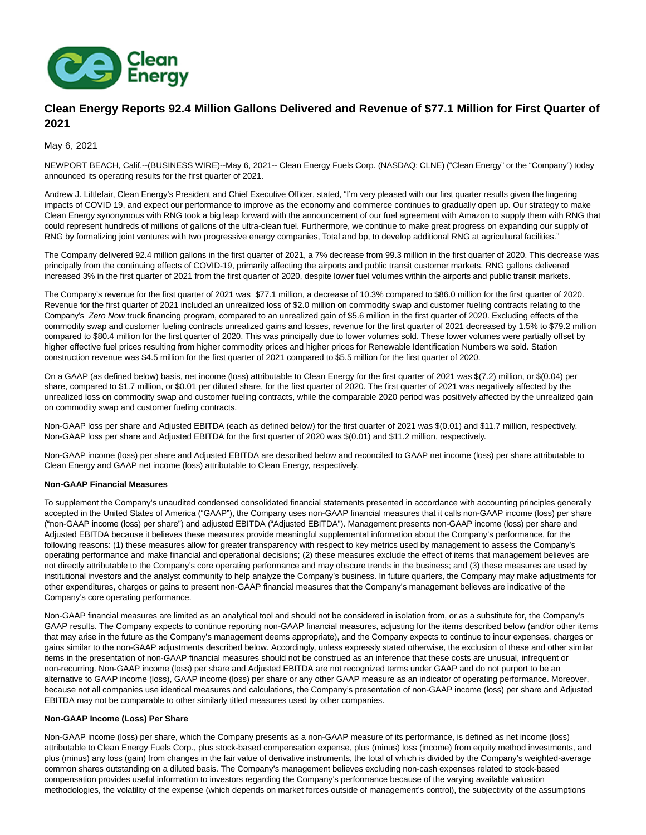

# **Clean Energy Reports 92.4 Million Gallons Delivered and Revenue of \$77.1 Million for First Quarter of 2021**

May 6, 2021

NEWPORT BEACH, Calif.--(BUSINESS WIRE)--May 6, 2021-- Clean Energy Fuels Corp. (NASDAQ: CLNE) ("Clean Energy" or the "Company") today announced its operating results for the first quarter of 2021.

Andrew J. Littlefair, Clean Energy's President and Chief Executive Officer, stated, "I'm very pleased with our first quarter results given the lingering impacts of COVID 19, and expect our performance to improve as the economy and commerce continues to gradually open up. Our strategy to make Clean Energy synonymous with RNG took a big leap forward with the announcement of our fuel agreement with Amazon to supply them with RNG that could represent hundreds of millions of gallons of the ultra-clean fuel. Furthermore, we continue to make great progress on expanding our supply of RNG by formalizing joint ventures with two progressive energy companies, Total and bp, to develop additional RNG at agricultural facilities."

The Company delivered 92.4 million gallons in the first quarter of 2021, a 7% decrease from 99.3 million in the first quarter of 2020. This decrease was principally from the continuing effects of COVID-19, primarily affecting the airports and public transit customer markets. RNG gallons delivered increased 3% in the first quarter of 2021 from the first quarter of 2020, despite lower fuel volumes within the airports and public transit markets.

The Company's revenue for the first quarter of 2021 was \$77.1 million, a decrease of 10.3% compared to \$86.0 million for the first quarter of 2020. Revenue for the first quarter of 2021 included an unrealized loss of \$2.0 million on commodity swap and customer fueling contracts relating to the Company's Zero Now truck financing program, compared to an unrealized gain of \$5.6 million in the first quarter of 2020. Excluding effects of the commodity swap and customer fueling contracts unrealized gains and losses, revenue for the first quarter of 2021 decreased by 1.5% to \$79.2 million compared to \$80.4 million for the first quarter of 2020. This was principally due to lower volumes sold. These lower volumes were partially offset by higher effective fuel prices resulting from higher commodity prices and higher prices for Renewable Identification Numbers we sold. Station construction revenue was \$4.5 million for the first quarter of 2021 compared to \$5.5 million for the first quarter of 2020.

On a GAAP (as defined below) basis, net income (loss) attributable to Clean Energy for the first quarter of 2021 was \$(7.2) million, or \$(0.04) per share, compared to \$1.7 million, or \$0.01 per diluted share, for the first quarter of 2020. The first quarter of 2021 was negatively affected by the unrealized loss on commodity swap and customer fueling contracts, while the comparable 2020 period was positively affected by the unrealized gain on commodity swap and customer fueling contracts.

Non-GAAP loss per share and Adjusted EBITDA (each as defined below) for the first quarter of 2021 was \$(0.01) and \$11.7 million, respectively. Non-GAAP loss per share and Adjusted EBITDA for the first quarter of 2020 was \$(0.01) and \$11.2 million, respectively.

Non-GAAP income (loss) per share and Adjusted EBITDA are described below and reconciled to GAAP net income (loss) per share attributable to Clean Energy and GAAP net income (loss) attributable to Clean Energy, respectively.

### **Non-GAAP Financial Measures**

To supplement the Company's unaudited condensed consolidated financial statements presented in accordance with accounting principles generally accepted in the United States of America ("GAAP"), the Company uses non-GAAP financial measures that it calls non-GAAP income (loss) per share ("non-GAAP income (loss) per share") and adjusted EBITDA ("Adjusted EBITDA"). Management presents non-GAAP income (loss) per share and Adjusted EBITDA because it believes these measures provide meaningful supplemental information about the Company's performance, for the following reasons: (1) these measures allow for greater transparency with respect to key metrics used by management to assess the Company's operating performance and make financial and operational decisions; (2) these measures exclude the effect of items that management believes are not directly attributable to the Company's core operating performance and may obscure trends in the business; and (3) these measures are used by institutional investors and the analyst community to help analyze the Company's business. In future quarters, the Company may make adjustments for other expenditures, charges or gains to present non-GAAP financial measures that the Company's management believes are indicative of the Company's core operating performance.

Non-GAAP financial measures are limited as an analytical tool and should not be considered in isolation from, or as a substitute for, the Company's GAAP results. The Company expects to continue reporting non-GAAP financial measures, adjusting for the items described below (and/or other items that may arise in the future as the Company's management deems appropriate), and the Company expects to continue to incur expenses, charges or gains similar to the non-GAAP adjustments described below. Accordingly, unless expressly stated otherwise, the exclusion of these and other similar items in the presentation of non-GAAP financial measures should not be construed as an inference that these costs are unusual, infrequent or non-recurring. Non-GAAP income (loss) per share and Adjusted EBITDA are not recognized terms under GAAP and do not purport to be an alternative to GAAP income (loss), GAAP income (loss) per share or any other GAAP measure as an indicator of operating performance. Moreover, because not all companies use identical measures and calculations, the Company's presentation of non-GAAP income (loss) per share and Adjusted EBITDA may not be comparable to other similarly titled measures used by other companies.

### **Non-GAAP Income (Loss) Per Share**

Non-GAAP income (loss) per share, which the Company presents as a non-GAAP measure of its performance, is defined as net income (loss) attributable to Clean Energy Fuels Corp., plus stock-based compensation expense, plus (minus) loss (income) from equity method investments, and plus (minus) any loss (gain) from changes in the fair value of derivative instruments, the total of which is divided by the Company's weighted-average common shares outstanding on a diluted basis. The Company's management believes excluding non-cash expenses related to stock-based compensation provides useful information to investors regarding the Company's performance because of the varying available valuation methodologies, the volatility of the expense (which depends on market forces outside of management's control), the subjectivity of the assumptions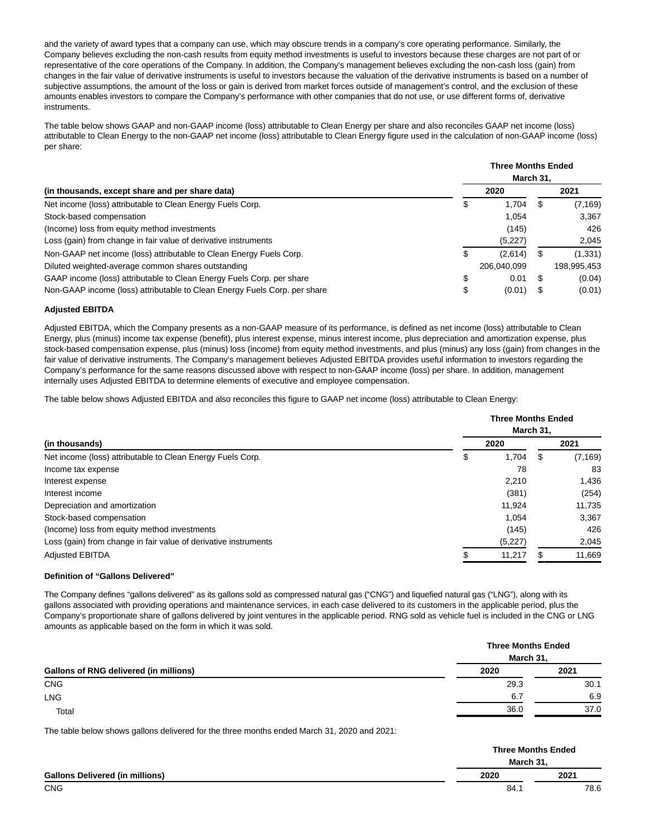and the variety of award types that a company can use, which may obscure trends in a company's core operating performance. Similarly, the Company believes excluding the non-cash results from equity method investments is useful to investors because these charges are not part of or representative of the core operations of the Company. In addition, the Company's management believes excluding the non-cash loss (gain) from changes in the fair value of derivative instruments is useful to investors because the valuation of the derivative instruments is based on a number of subjective assumptions, the amount of the loss or gain is derived from market forces outside of management's control, and the exclusion of these amounts enables investors to compare the Company's performance with other companies that do not use, or use different forms of, derivative instruments.

The table below shows GAAP and non-GAAP income (loss) attributable to Clean Energy per share and also reconciles GAAP net income (loss) attributable to Clean Energy to the non-GAAP net income (loss) attributable to Clean Energy figure used in the calculation of non-GAAP income (loss) per share:

|                                                                           |    | <b>Three Months Ended</b><br>March 31, |      |             |  |
|---------------------------------------------------------------------------|----|----------------------------------------|------|-------------|--|
| (in thousands, except share and per share data)                           |    | 2020                                   |      | 2021        |  |
| Net income (loss) attributable to Clean Energy Fuels Corp.                | \$ | 1.704                                  | -8   | (7, 169)    |  |
| Stock-based compensation                                                  |    | 1.054                                  |      | 3,367       |  |
| (Income) loss from equity method investments                              |    | (145)                                  |      | 426         |  |
| Loss (gain) from change in fair value of derivative instruments           |    | (5,227)                                |      | 2,045       |  |
| Non-GAAP net income (loss) attributable to Clean Energy Fuels Corp.       | S  | (2,614)                                | S.   | (1, 331)    |  |
| Diluted weighted-average common shares outstanding                        |    | 206,040,099                            |      | 198,995,453 |  |
| GAAP income (loss) attributable to Clean Energy Fuels Corp. per share     | \$ | 0.01                                   | - 35 | (0.04)      |  |
| Non-GAAP income (loss) attributable to Clean Energy Fuels Corp. per share | \$ | (0.01)                                 | - 35 | (0.01)      |  |

## **Adjusted EBITDA**

Adjusted EBITDA, which the Company presents as a non-GAAP measure of its performance, is defined as net income (loss) attributable to Clean Energy, plus (minus) income tax expense (benefit), plus interest expense, minus interest income, plus depreciation and amortization expense, plus stock-based compensation expense, plus (minus) loss (income) from equity method investments, and plus (minus) any loss (gain) from changes in the fair value of derivative instruments. The Company's management believes Adjusted EBITDA provides useful information to investors regarding the Company's performance for the same reasons discussed above with respect to non-GAAP income (loss) per share. In addition, management internally uses Adjusted EBITDA to determine elements of executive and employee compensation.

The table below shows Adjusted EBITDA and also reconciles this figure to GAAP net income (loss) attributable to Clean Energy:

|                                                                 |             | <b>Three Months Ended</b> |  |  |  |  |  |
|-----------------------------------------------------------------|-------------|---------------------------|--|--|--|--|--|
| (in thousands)                                                  |             | March 31,                 |  |  |  |  |  |
|                                                                 | 2020        | 2021                      |  |  |  |  |  |
| Net income (loss) attributable to Clean Energy Fuels Corp.      | \$<br>1,704 | (7, 169)<br>S             |  |  |  |  |  |
| Income tax expense                                              |             | 78<br>83                  |  |  |  |  |  |
| Interest expense                                                | 2.210       | 1,436                     |  |  |  |  |  |
| Interest income                                                 | (381)       | (254)                     |  |  |  |  |  |
| Depreciation and amortization                                   | 11.924      | 11,735                    |  |  |  |  |  |
| Stock-based compensation                                        | 1.054       | 3,367                     |  |  |  |  |  |
| (Income) loss from equity method investments                    | (145)       | 426                       |  |  |  |  |  |
| Loss (gain) from change in fair value of derivative instruments | (5,227)     | 2,045                     |  |  |  |  |  |
| <b>Adjusted EBITDA</b>                                          | 11,217      | 11,669                    |  |  |  |  |  |

### **Definition of "Gallons Delivered"**

The Company defines "gallons delivered" as its gallons sold as compressed natural gas ("CNG") and liquefied natural gas ("LNG"), along with its gallons associated with providing operations and maintenance services, in each case delivered to its customers in the applicable period, plus the Company's proportionate share of gallons delivered by joint ventures in the applicable period. RNG sold as vehicle fuel is included in the CNG or LNG amounts as applicable based on the form in which it was sold.

|                                               |      | <b>Three Months Ended</b><br>March 31. |  |  |  |
|-----------------------------------------------|------|----------------------------------------|--|--|--|
| <b>Gallons of RNG delivered (in millions)</b> | 2020 | 2021                                   |  |  |  |
| <b>CNG</b>                                    | 29.3 | 30.1                                   |  |  |  |
| <b>LNG</b>                                    | 6.7  | 6.9                                    |  |  |  |
| Total                                         | 36.0 | 37.0                                   |  |  |  |

The table below shows gallons delivered for the three months ended March 31, 2020 and 2021:

|                                        |      | <b>Three Months Ended</b> |  |  |  |
|----------------------------------------|------|---------------------------|--|--|--|
| <b>Gallons Delivered (in millions)</b> |      | March 31.                 |  |  |  |
|                                        | 2020 | 2021                      |  |  |  |
| <b>CNG</b>                             |      | 78.6<br>84.7              |  |  |  |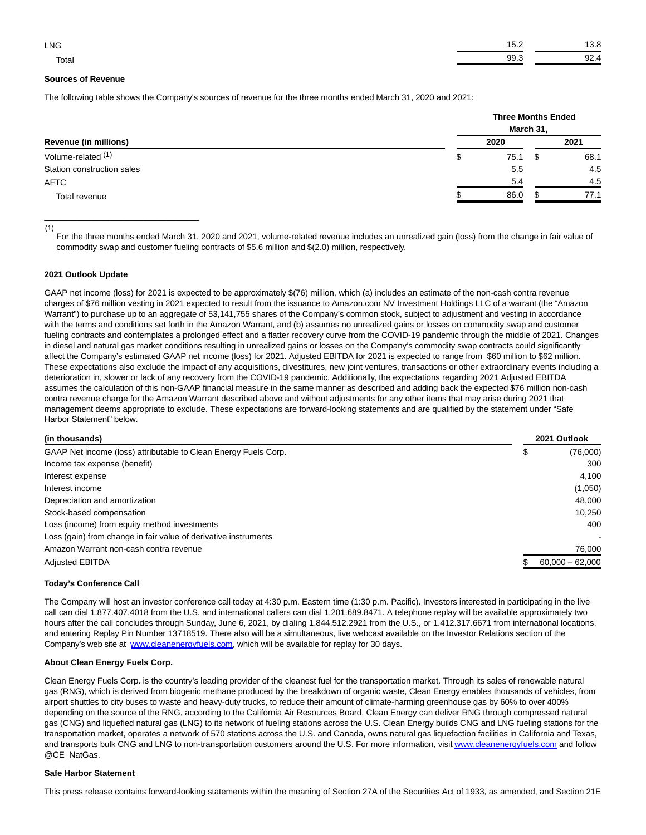| <b>LNG</b> |          |   |
|------------|----------|---|
| Total      | ۵Q<br>JJ | ັ |

### **Sources of Revenue**

The following table shows the Company's sources of revenue for the three months ended March 31, 2020 and 2021:

| Revenue (in millions)      |            | <b>Three Months Ended</b><br>March 31, |      |  |  |  |
|----------------------------|------------|----------------------------------------|------|--|--|--|
|                            | 2020       |                                        | 2021 |  |  |  |
| Volume-related (1)         | 75.1<br>\$ | \$                                     | 68.1 |  |  |  |
| Station construction sales | 5.5        |                                        | 4.5  |  |  |  |
| <b>AFTC</b>                | 5.4        |                                        | 4.5  |  |  |  |
| Total revenue              | 86.0       |                                        | 77.1 |  |  |  |

(1)

For the three months ended March 31, 2020 and 2021, volume-related revenue includes an unrealized gain (loss) from the change in fair value of commodity swap and customer fueling contracts of \$5.6 million and \$(2.0) million, respectively.

#### **2021 Outlook Update**

\_\_\_\_\_\_\_\_\_\_\_\_\_\_\_\_\_\_\_\_\_\_\_\_\_\_\_\_\_\_\_\_\_

GAAP net income (loss) for 2021 is expected to be approximately \$(76) million, which (a) includes an estimate of the non-cash contra revenue charges of \$76 million vesting in 2021 expected to result from the issuance to Amazon.com NV Investment Holdings LLC of a warrant (the "Amazon Warrant") to purchase up to an aggregate of 53,141,755 shares of the Company's common stock, subject to adjustment and vesting in accordance with the terms and conditions set forth in the Amazon Warrant, and (b) assumes no unrealized gains or losses on commodity swap and customer fueling contracts and contemplates a prolonged effect and a flatter recovery curve from the COVID-19 pandemic through the middle of 2021. Changes in diesel and natural gas market conditions resulting in unrealized gains or losses on the Company's commodity swap contracts could significantly affect the Company's estimated GAAP net income (loss) for 2021. Adjusted EBITDA for 2021 is expected to range from \$60 million to \$62 million. These expectations also exclude the impact of any acquisitions, divestitures, new joint ventures, transactions or other extraordinary events including a deterioration in, slower or lack of any recovery from the COVID-19 pandemic. Additionally, the expectations regarding 2021 Adjusted EBITDA assumes the calculation of this non-GAAP financial measure in the same manner as described and adding back the expected \$76 million non-cash contra revenue charge for the Amazon Warrant described above and without adjustments for any other items that may arise during 2021 that management deems appropriate to exclude. These expectations are forward-looking statements and are qualified by the statement under "Safe Harbor Statement" below.

| (in thousands)                                                  |    | 2021 Outlook      |  |
|-----------------------------------------------------------------|----|-------------------|--|
| GAAP Net income (loss) attributable to Clean Energy Fuels Corp. | \$ | (76,000)          |  |
| Income tax expense (benefit)                                    |    | 300               |  |
| Interest expense                                                |    | 4,100             |  |
| Interest income                                                 |    | (1,050)           |  |
| Depreciation and amortization                                   |    | 48,000            |  |
| Stock-based compensation                                        |    | 10,250            |  |
| Loss (income) from equity method investments                    |    | 400               |  |
| Loss (gain) from change in fair value of derivative instruments |    |                   |  |
| Amazon Warrant non-cash contra revenue                          |    | 76,000            |  |
| <b>Adjusted EBITDA</b>                                          |    | $60,000 - 62,000$ |  |

### **Today's Conference Call**

The Company will host an investor conference call today at 4:30 p.m. Eastern time (1:30 p.m. Pacific). Investors interested in participating in the live call can dial 1.877.407.4018 from the U.S. and international callers can dial 1.201.689.8471. A telephone replay will be available approximately two hours after the call concludes through Sunday, June 6, 2021, by dialing 1.844.512.2921 from the U.S., or 1.412.317.6671 from international locations, and entering Replay Pin Number 13718519. There also will be a simultaneous, live webcast available on the Investor Relations section of the Company's web site at [www.cleanenergyfuels.com,](https://cts.businesswire.com/ct/CT?id=smartlink&url=http%3A%2F%2Fwww.cleanenergyfuels.com&esheet=52424703&newsitemid=20210506006046&lan=en-US&anchor=www.cleanenergyfuels.com&index=1&md5=03368e0d2c014ab8f755985591545a65) which will be available for replay for 30 days.

## **About Clean Energy Fuels Corp.**

Clean Energy Fuels Corp. is the country's leading provider of the cleanest fuel for the transportation market. Through its sales of renewable natural gas (RNG), which is derived from biogenic methane produced by the breakdown of organic waste, Clean Energy enables thousands of vehicles, from airport shuttles to city buses to waste and heavy-duty trucks, to reduce their amount of climate-harming greenhouse gas by 60% to over 400% depending on the source of the RNG, according to the California Air Resources Board. Clean Energy can deliver RNG through compressed natural gas (CNG) and liquefied natural gas (LNG) to its network of fueling stations across the U.S. Clean Energy builds CNG and LNG fueling stations for the transportation market, operates a network of 570 stations across the U.S. and Canada, owns natural gas liquefaction facilities in California and Texas, and transports bulk CNG and LNG to non-transportation customers around the U.S. For more information, visi[t www.cleanenergyfuels.com a](https://cts.businesswire.com/ct/CT?id=smartlink&url=http%3A%2F%2Fwww.cleanenergyfuels.com&esheet=52424703&newsitemid=20210506006046&lan=en-US&anchor=www.cleanenergyfuels.com&index=2&md5=52ea2ae0d0604423513aa31551166665)nd follow @CE\_NatGas.

#### **Safe Harbor Statement**

This press release contains forward-looking statements within the meaning of Section 27A of the Securities Act of 1933, as amended, and Section 21E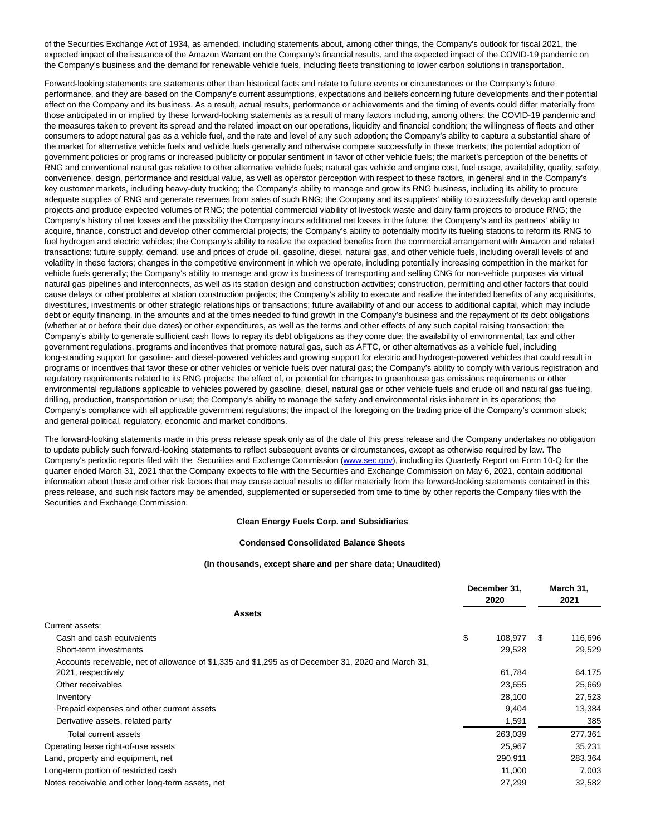of the Securities Exchange Act of 1934, as amended, including statements about, among other things, the Company's outlook for fiscal 2021, the expected impact of the issuance of the Amazon Warrant on the Company's financial results, and the expected impact of the COVID-19 pandemic on the Company's business and the demand for renewable vehicle fuels, including fleets transitioning to lower carbon solutions in transportation.

Forward-looking statements are statements other than historical facts and relate to future events or circumstances or the Company's future performance, and they are based on the Company's current assumptions, expectations and beliefs concerning future developments and their potential effect on the Company and its business. As a result, actual results, performance or achievements and the timing of events could differ materially from those anticipated in or implied by these forward-looking statements as a result of many factors including, among others: the COVID-19 pandemic and the measures taken to prevent its spread and the related impact on our operations, liquidity and financial condition; the willingness of fleets and other consumers to adopt natural gas as a vehicle fuel, and the rate and level of any such adoption; the Company's ability to capture a substantial share of the market for alternative vehicle fuels and vehicle fuels generally and otherwise compete successfully in these markets; the potential adoption of government policies or programs or increased publicity or popular sentiment in favor of other vehicle fuels; the market's perception of the benefits of RNG and conventional natural gas relative to other alternative vehicle fuels; natural gas vehicle and engine cost, fuel usage, availability, quality, safety, convenience, design, performance and residual value, as well as operator perception with respect to these factors, in general and in the Company's key customer markets, including heavy-duty trucking; the Company's ability to manage and grow its RNG business, including its ability to procure adequate supplies of RNG and generate revenues from sales of such RNG; the Company and its suppliers' ability to successfully develop and operate projects and produce expected volumes of RNG; the potential commercial viability of livestock waste and dairy farm projects to produce RNG; the Company's history of net losses and the possibility the Company incurs additional net losses in the future; the Company's and its partners' ability to acquire, finance, construct and develop other commercial projects; the Company's ability to potentially modify its fueling stations to reform its RNG to fuel hydrogen and electric vehicles; the Company's ability to realize the expected benefits from the commercial arrangement with Amazon and related transactions; future supply, demand, use and prices of crude oil, gasoline, diesel, natural gas, and other vehicle fuels, including overall levels of and volatility in these factors; changes in the competitive environment in which we operate, including potentially increasing competition in the market for vehicle fuels generally; the Company's ability to manage and grow its business of transporting and selling CNG for non-vehicle purposes via virtual natural gas pipelines and interconnects, as well as its station design and construction activities; construction, permitting and other factors that could cause delays or other problems at station construction projects; the Company's ability to execute and realize the intended benefits of any acquisitions, divestitures, investments or other strategic relationships or transactions; future availability of and our access to additional capital, which may include debt or equity financing, in the amounts and at the times needed to fund growth in the Company's business and the repayment of its debt obligations (whether at or before their due dates) or other expenditures, as well as the terms and other effects of any such capital raising transaction; the Company's ability to generate sufficient cash flows to repay its debt obligations as they come due; the availability of environmental, tax and other government regulations, programs and incentives that promote natural gas, such as AFTC, or other alternatives as a vehicle fuel, including long-standing support for gasoline- and diesel-powered vehicles and growing support for electric and hydrogen-powered vehicles that could result in programs or incentives that favor these or other vehicles or vehicle fuels over natural gas; the Company's ability to comply with various registration and regulatory requirements related to its RNG projects; the effect of, or potential for changes to greenhouse gas emissions requirements or other environmental regulations applicable to vehicles powered by gasoline, diesel, natural gas or other vehicle fuels and crude oil and natural gas fueling, drilling, production, transportation or use; the Company's ability to manage the safety and environmental risks inherent in its operations; the Company's compliance with all applicable government regulations; the impact of the foregoing on the trading price of the Company's common stock; and general political, regulatory, economic and market conditions.

The forward-looking statements made in this press release speak only as of the date of this press release and the Company undertakes no obligation to update publicly such forward-looking statements to reflect subsequent events or circumstances, except as otherwise required by law. The Company's periodic reports filed with the Securities and Exchange Commission [\(www.sec.gov\),](https://cts.businesswire.com/ct/CT?id=smartlink&url=http%3A%2F%2Fwww.sec.gov&esheet=52424703&newsitemid=20210506006046&lan=en-US&anchor=www.sec.gov&index=3&md5=230d4ffad714e33e7b90594d87435a21) including its Quarterly Report on Form 10-Q for the quarter ended March 31, 2021 that the Company expects to file with the Securities and Exchange Commission on May 6, 2021, contain additional information about these and other risk factors that may cause actual results to differ materially from the forward-looking statements contained in this press release, and such risk factors may be amended, supplemented or superseded from time to time by other reports the Company files with the Securities and Exchange Commission.

#### **Clean Energy Fuels Corp. and Subsidiaries**

#### **Condensed Consolidated Balance Sheets**

#### **(In thousands, except share and per share data; Unaudited)**

|                                                                                                    | December 31, |         | March 31, |         |
|----------------------------------------------------------------------------------------------------|--------------|---------|-----------|---------|
|                                                                                                    |              | 2020    |           | 2021    |
| <b>Assets</b>                                                                                      |              |         |           |         |
| Current assets:                                                                                    |              |         |           |         |
| Cash and cash equivalents                                                                          | \$           | 108,977 | S         | 116,696 |
| Short-term investments                                                                             |              | 29,528  |           | 29,529  |
| Accounts receivable, net of allowance of \$1,335 and \$1,295 as of December 31, 2020 and March 31, |              |         |           |         |
| 2021, respectively                                                                                 |              | 61,784  |           | 64,175  |
| Other receivables                                                                                  |              | 23,655  |           | 25,669  |
| Inventory                                                                                          |              | 28,100  |           | 27,523  |
| Prepaid expenses and other current assets                                                          |              | 9,404   |           | 13,384  |
| Derivative assets, related party                                                                   |              | 1,591   |           | 385     |
| Total current assets                                                                               |              | 263,039 |           | 277,361 |
| Operating lease right-of-use assets                                                                |              | 25,967  |           | 35,231  |
| Land, property and equipment, net                                                                  |              | 290.911 |           | 283,364 |
| Long-term portion of restricted cash                                                               |              | 11,000  |           | 7,003   |
| Notes receivable and other long-term assets, net                                                   |              | 27,299  |           | 32,582  |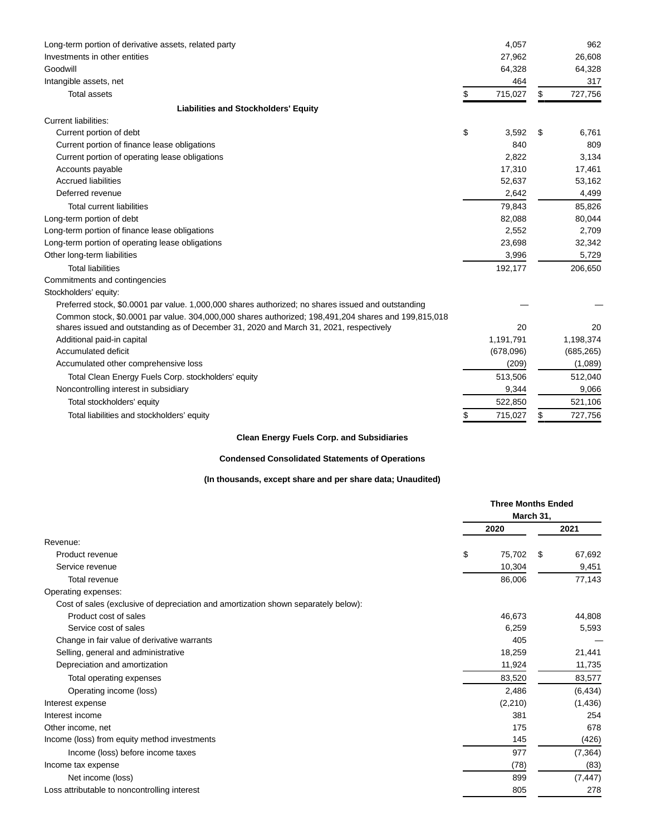| Long-term portion of derivative assets, related party                                               | 4,057         | 962           |
|-----------------------------------------------------------------------------------------------------|---------------|---------------|
| Investments in other entities                                                                       | 27,962        | 26,608        |
| Goodwill                                                                                            | 64,328        | 64,328        |
| Intangible assets, net                                                                              | 464           | 317           |
| <b>Total assets</b>                                                                                 | \$<br>715,027 | \$<br>727,756 |
| <b>Liabilities and Stockholders' Equity</b>                                                         |               |               |
| Current liabilities:                                                                                |               |               |
| Current portion of debt                                                                             | \$<br>3,592   | \$<br>6,761   |
| Current portion of finance lease obligations                                                        | 840           | 809           |
| Current portion of operating lease obligations                                                      | 2,822         | 3,134         |
| Accounts payable                                                                                    | 17,310        | 17,461        |
| <b>Accrued liabilities</b>                                                                          | 52,637        | 53,162        |
| Deferred revenue                                                                                    | 2,642         | 4,499         |
| <b>Total current liabilities</b>                                                                    | 79,843        | 85,826        |
| Long-term portion of debt                                                                           | 82,088        | 80,044        |
| Long-term portion of finance lease obligations                                                      | 2,552         | 2,709         |
| Long-term portion of operating lease obligations                                                    | 23,698        | 32,342        |
| Other long-term liabilities                                                                         | 3,996         | 5,729         |
| <b>Total liabilities</b>                                                                            | 192,177       | 206,650       |
| Commitments and contingencies                                                                       |               |               |
| Stockholders' equity:                                                                               |               |               |
| Preferred stock, \$0.0001 par value. 1,000,000 shares authorized; no shares issued and outstanding  |               |               |
| Common stock, \$0.0001 par value. 304,000,000 shares authorized: 198,491,204 shares and 199,815,018 |               |               |
| shares issued and outstanding as of December 31, 2020 and March 31, 2021, respectively              | 20            | 20            |
| Additional paid-in capital                                                                          | 1,191,791     | 1,198,374     |
| Accumulated deficit                                                                                 | (678,096)     | (685, 265)    |
| Accumulated other comprehensive loss                                                                | (209)         | (1,089)       |
| Total Clean Energy Fuels Corp. stockholders' equity                                                 | 513,506       | 512,040       |
| Noncontrolling interest in subsidiary                                                               | 9,344         | 9,066         |
| Total stockholders' equity                                                                          | 522,850       | 521,106       |
| Total liabilities and stockholders' equity                                                          | 715,027       | \$<br>727,756 |

## **Clean Energy Fuels Corp. and Subsidiaries**

## **Condensed Consolidated Statements of Operations**

## **(In thousands, except share and per share data; Unaudited)**

|                                                                                    | <b>Three Months Ended</b><br>March 31, |          |   |          |
|------------------------------------------------------------------------------------|----------------------------------------|----------|---|----------|
|                                                                                    |                                        | 2020     |   | 2021     |
| Revenue:                                                                           |                                        |          |   |          |
| Product revenue                                                                    | \$                                     | 75,702   | S | 67,692   |
| Service revenue                                                                    |                                        | 10,304   |   | 9,451    |
| Total revenue                                                                      |                                        | 86,006   |   | 77,143   |
| Operating expenses:                                                                |                                        |          |   |          |
| Cost of sales (exclusive of depreciation and amortization shown separately below): |                                        |          |   |          |
| Product cost of sales                                                              |                                        | 46,673   |   | 44,808   |
| Service cost of sales                                                              |                                        | 6,259    |   | 5,593    |
| Change in fair value of derivative warrants                                        |                                        | 405      |   |          |
| Selling, general and administrative                                                |                                        | 18,259   |   | 21,441   |
| Depreciation and amortization                                                      |                                        | 11,924   |   | 11,735   |
| Total operating expenses                                                           |                                        | 83,520   |   | 83,577   |
| Operating income (loss)                                                            |                                        | 2,486    |   | (6, 434) |
| Interest expense                                                                   |                                        | (2, 210) |   | (1,436)  |
| Interest income                                                                    |                                        | 381      |   | 254      |
| Other income, net                                                                  |                                        | 175      |   | 678      |
| Income (loss) from equity method investments                                       |                                        | 145      |   | (426)    |
| Income (loss) before income taxes                                                  |                                        | 977      |   | (7, 364) |
| Income tax expense                                                                 |                                        | (78)     |   | (83)     |
| Net income (loss)                                                                  |                                        | 899      |   | (7, 447) |
| Loss attributable to noncontrolling interest                                       |                                        | 805      |   | 278      |